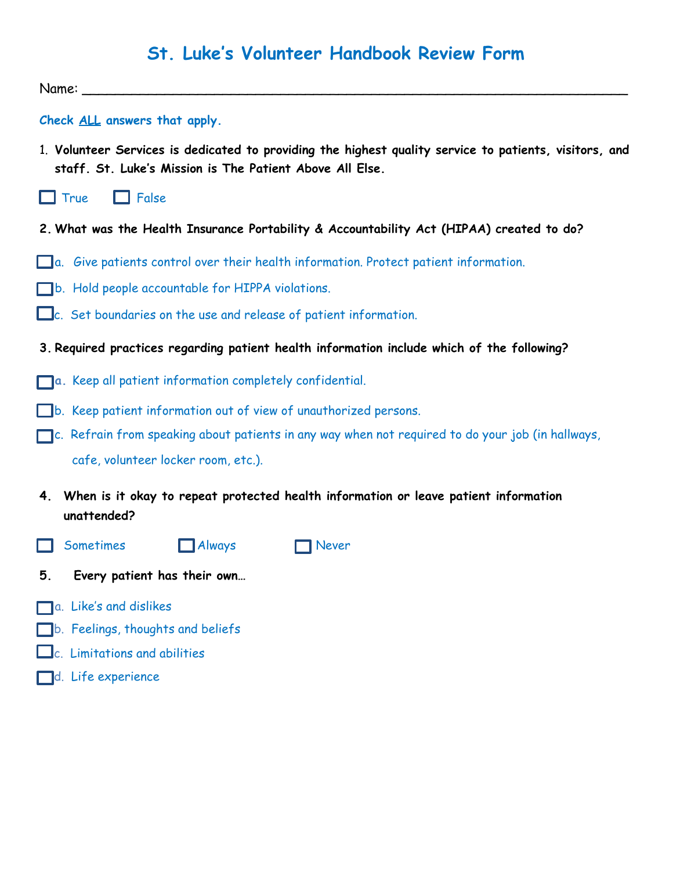# **St. Luke's Volunteer Handbook Review Form**

 $Name:$ 

**Check ALL answers that apply.**

1. **Volunteer Services is dedicated to providing the highest quality service to patients, visitors, and staff. St. Luke's Mission is The Patient Above All Else.**



- **2. What was the Health Insurance Portability & Accountability Act (HIPAA) created to do?**
- a. Give patients control over their health information. Protect patient information.
- b. Hold people accountable for HIPPA violations.
- c. Set boundaries on the use and release of patient information.
- **3. Required practices regarding patient health information include which of the following?**
- **a.** Keep all patient information completely confidential.
- b. Keep patient information out of view of unauthorized persons.
- $\Box$ c. Refrain from speaking about patients in any way when not required to do your job (in hallways, cafe, volunteer locker room, etc.).
- **4. When is it okay to repeat protected health information or leave patient information unattended?**
- $\Box$  Sometimes  $\Box$  Always  $\Box$  Never
- **5. Every patient has their own…**
- a. Like's and dislikes
- b. Feelings, thoughts and beliefs
- $\Box$ c. Limitations and abilities
- d. Life experience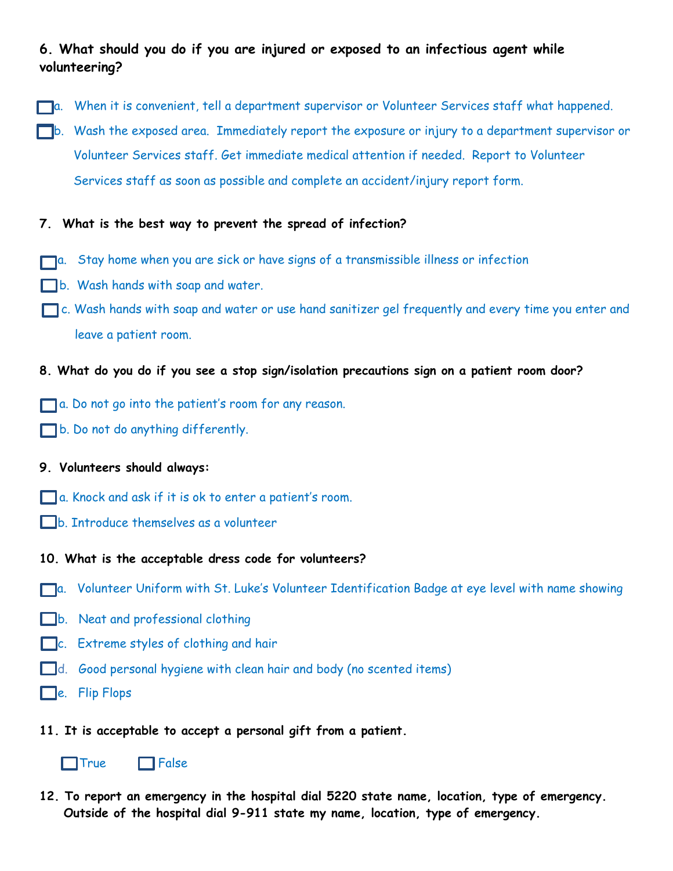## **6. What should you do if you are injured or exposed to an infectious agent while volunteering?**

- a. When it is convenient, tell a department supervisor or Volunteer Services staff what happened.
- b. Wash the exposed area. Immediately report the exposure or injury to a department supervisor or Volunteer Services staff. Get immediate medical attention if needed. Report to Volunteer Services staff as soon as possible and complete an accident/injury report form.

### **7. What is the best way to prevent the spread of infection?**

- a. Stay home when you are sick or have signs of a transmissible illness or infection
- b. Wash hands with soap and water.
- c. Wash hands with soap and water or use hand sanitizer gel frequently and every time you enter and leave a patient room.

#### **8. What do you do if you see a stop sign/isolation precautions sign on a patient room door?**

- a. Do not go into the patient's room for any reason.
- b. Do not do anything differently.

#### **9. Volunteers should always:**

- a. Knock and ask if it is ok to enter a patient's room.
- b. Introduce themselves as a volunteer
- **10. What is the acceptable dress code for volunteers?**
- **a.** Volunteer Uniform with St. Luke's Volunteer Identification Badge at eye level with name showing
- b. Neat and professional clothing
- $\Box$ c. Extreme styles of clothing and hair
- d. Good personal hygiene with clean hair and body (no scented items)
- $\Box$ e. Flip Flops
- **11. It is acceptable to accept a personal gift from a patient.**



 $\Box$ True  $\Box$  False

**12. To report an emergency in the hospital dial 5220 state name, location, type of emergency. Outside of the hospital dial 9-911 state my name, location, type of emergency.**